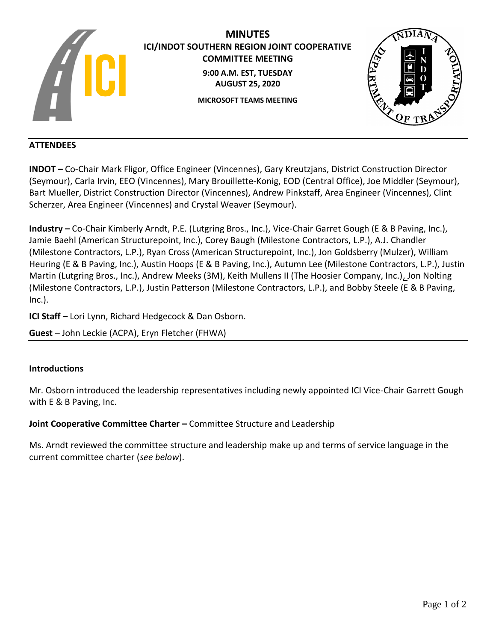

# **MINUTES ICI/INDOT SOUTHERN REGION JOINT COOPERATIVE COMMITTEE MEETING 9:00 A.M. EST, TUESDAY AUGUST 25, 2020 MICROSOFT TEAMS MEETING**



## **ATTENDEES**

**INDOT –** Co-Chair Mark Fligor, Office Engineer (Vincennes), Gary Kreutzjans, District Construction Director (Seymour), Carla Irvin, EEO (Vincennes), Mary Brouillette-Konig, EOD (Central Office), Joe Middler (Seymour), Bart Mueller, District Construction Director (Vincennes), Andrew Pinkstaff, Area Engineer (Vincennes), Clint Scherzer, Area Engineer (Vincennes) and Crystal Weaver (Seymour).

**Industry –** Co-Chair Kimberly Arndt, P.E. (Lutgring Bros., Inc.), Vice-Chair Garret Gough (E & B Paving, Inc.), Jamie Baehl (American Structurepoint, Inc.), Corey Baugh (Milestone Contractors, L.P.), A.J. Chandler (Milestone Contractors, L.P.), Ryan Cross (American Structurepoint, Inc.), Jon Goldsberry (Mulzer), William Heuring (E & B Paving, Inc.), Austin Hoops (E & B Paving, Inc.), Autumn Lee (Milestone Contractors, L.P.), Justin Martin (Lutgring Bros., Inc.), Andrew Meeks (3M), Keith Mullens II (The Hoosier Company, Inc.), Jon Nolting (Milestone Contractors, L.P.), Justin Patterson (Milestone Contractors, L.P.), and Bobby Steele (E & B Paving, Inc.).

**ICI Staff –** Lori Lynn, Richard Hedgecock & Dan Osborn.

**Guest** – John Leckie (ACPA), Eryn Fletcher (FHWA)

### **Introductions**

Mr. Osborn introduced the leadership representatives including newly appointed ICI Vice-Chair Garrett Gough with E & B Paving, Inc.

### **Joint Cooperative Committee Charter –** Committee Structure and Leadership

Ms. Arndt reviewed the committee structure and leadership make up and terms of service language in the current committee charter (*see below*).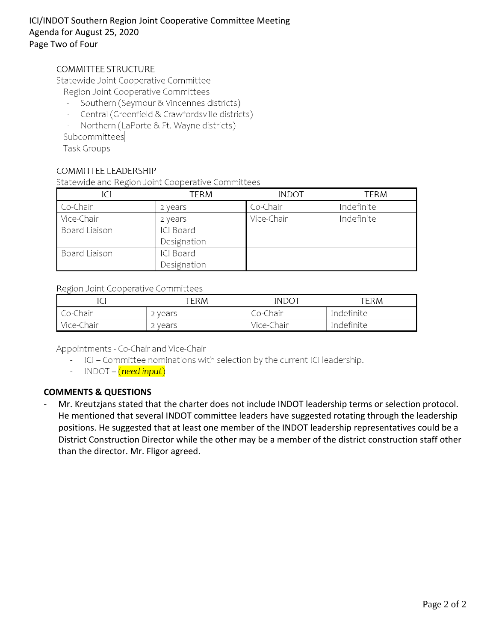# ICI/INDOT Southern Region Joint Cooperative Committee Meeting Agenda for August 25, 2020 Page Two of Four

## **COMMITTEE STRUCTURE**

Statewide Joint Cooperative Committee

- Region Joint Cooperative Committees
- Southern (Seymour & Vincennes districts)
- Central (Greenfield & Crawfordsville districts)  $\omega$  .
- $\overline{a}$ Northern (LaPorte & Ft. Wayne districts)

Subcommittees

**Task Groups** 

### COMMITTEE LEADERSHIP

Statewide and Region Joint Cooperative Committees

|               | TERM        | <b>INDOT</b> | term       |
|---------------|-------------|--------------|------------|
| Co-Chair      | 2 years     | Co-Chair     | Indefinite |
| Vice-Chair    | 2 years     | Vice-Chair   | Indefinite |
| Board Liaison | ICI Board   |              |            |
|               | Designation |              |            |
| Board Liaison | ICI Board   |              |            |
|               | Designation |              |            |

#### Region Joint Cooperative Committees

|            | TERM    | INDOT      | "ERM       |
|------------|---------|------------|------------|
| Co-Chair   | : vears | Co-Chair   | Indefinite |
| Vice-Chair | ` vears | Vice-Chair | Indefinite |

Appointments - Co-Chair and Vice-Chair

- ICI Committee nominations with selection by the current ICI leadership.
- INDOT (need input)

# **COMMENTS & QUESTIONS**

Mr. Kreutzjans stated that the charter does not include INDOT leadership terms or selection protocol. He mentioned that several INDOT committee leaders have suggested rotating through the leadership positions. He suggested that at least one member of the INDOT leadership representatives could be a District Construction Director while the other may be a member of the district construction staff other than the director. Mr. Fligor agreed.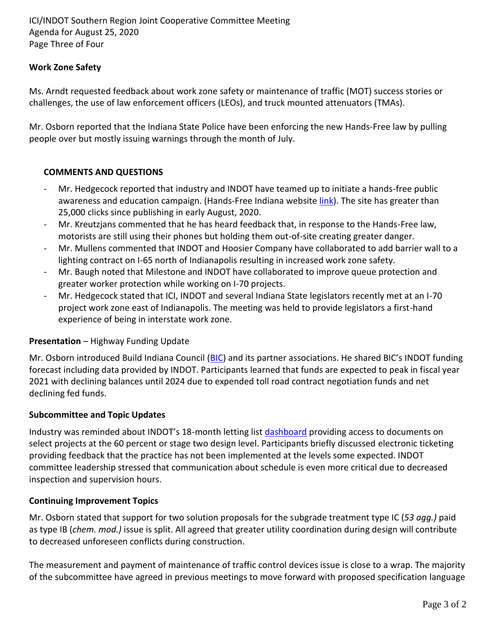ICI/INDOT Southern Region Joint Cooperative Committee Meeting Agenda for August 25, 2020 Page Three of Four

### **Work Zone Safety**

Ms. Arndt requested feedback about work zone safety or maintenance of traffic (MOT) success stories or challenges, the use of law enforcement officers (LEOs), and truck mounted attenuators (TMAs).

Mr. Osborn reported that the Indiana State Police have been enforcing the new Hands-Free law by pulling people over but mostly issuing warnings through the month of July.

### **COMMENTS AND QUESTIONS**

- Mr. Hedgecock reported that industry and INDOT have teamed up to initiate a hands-free public awareness and education campaign. (Hands-Free Indiana website [link\)](https://www.in.gov/indot/4063.htm). The site has greater than 25,000 clicks since publishing in early August, 2020.
- Mr. Kreutzjans commented that he has heard feedback that, in response to the Hands-Free law, motorists are still using their phones but holding them out-of-site creating greater danger.
- Mr. Mullens commented that INDOT and Hoosier Company have collaborated to add barrier wall to a lighting contract on I-65 north of Indianapolis resulting in increased work zone safety.
- Mr. Baugh noted that Milestone and INDOT have collaborated to improve queue protection and greater worker protection while working on I-70 projects.
- Mr. Hedgecock stated that ICI, INDOT and several Indiana State legislators recently met at an I-70 project work zone east of Indianapolis. The meeting was held to provide legislators a first-hand experience of being in interstate work zone.

### **Presentation** – Highway Funding Update

Mr. Osborn introduced Build Indiana Council [\(BIC\)](https://buildindianacouncil.org/) and its partner associations. He shared BIC's INDOT funding forecast including data provided by INDOT. Participants learned that funds are expected to peak in fiscal year 2021 with declining balances until 2024 due to expended toll road contract negotiation funds and net declining fed funds.

### **Subcommittee and Topic Updates**

Industry was reminded about INDOT's 18-month letting list [dashboard](https://entapps.indot.in.gov/lettings/Dashboard) providing access to documents on select projects at the 60 percent or stage two design level. Participants briefly discussed electronic ticketing providing feedback that the practice has not been implemented at the levels some expected. INDOT committee leadership stressed that communication about schedule is even more critical due to decreased inspection and supervision hours.

### **Continuing Improvement Topics**

Mr. Osborn stated that support for two solution proposals for the subgrade treatment type IC (*53 agg.)* paid as type IB (*chem. mod.)* issue is split. All agreed that greater utility coordination during design will contribute to decreased unforeseen conflicts during construction.

The measurement and payment of maintenance of traffic control devices issue is close to a wrap. The majority of the subcommittee have agreed in previous meetings to move forward with proposed specification language